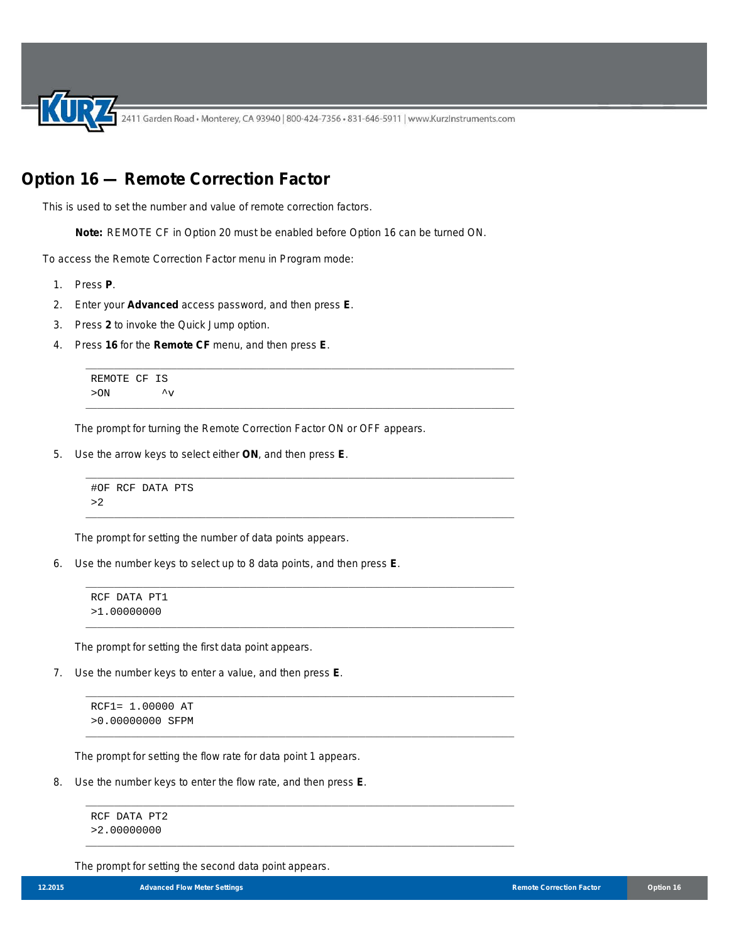2411 Garden Road • Monterey, CA 93940 | 800-424-7356 • 831-646-5911 | www.KurzInstruments.com

## **Option 16 — Remote Correction Factor**

This is used to set the number and value of remote correction factors.

**Note:** REMOTE CF in Option 20 must be enabled before Option 16 can be turned ON.

\_\_\_\_\_\_\_\_\_\_\_\_\_\_\_\_\_\_\_\_\_\_\_\_\_\_\_\_\_\_\_\_\_\_\_\_\_\_\_\_\_\_\_\_\_\_\_\_\_\_\_\_\_\_\_\_\_\_\_\_\_\_\_\_\_\_\_\_\_\_\_\_\_\_\_

\_\_\_\_\_\_\_\_\_\_\_\_\_\_\_\_\_\_\_\_\_\_\_\_\_\_\_\_\_\_\_\_\_\_\_\_\_\_\_\_\_\_\_\_\_\_\_\_\_\_\_\_\_\_\_\_\_\_\_\_\_\_\_\_\_\_\_\_\_\_\_\_\_\_\_

\_\_\_\_\_\_\_\_\_\_\_\_\_\_\_\_\_\_\_\_\_\_\_\_\_\_\_\_\_\_\_\_\_\_\_\_\_\_\_\_\_\_\_\_\_\_\_\_\_\_\_\_\_\_\_\_\_\_\_\_\_\_\_\_\_\_\_\_\_\_\_\_\_\_\_

\_\_\_\_\_\_\_\_\_\_\_\_\_\_\_\_\_\_\_\_\_\_\_\_\_\_\_\_\_\_\_\_\_\_\_\_\_\_\_\_\_\_\_\_\_\_\_\_\_\_\_\_\_\_\_\_\_\_\_\_\_\_\_\_\_\_\_\_\_\_\_\_\_\_\_

\_\_\_\_\_\_\_\_\_\_\_\_\_\_\_\_\_\_\_\_\_\_\_\_\_\_\_\_\_\_\_\_\_\_\_\_\_\_\_\_\_\_\_\_\_\_\_\_\_\_\_\_\_\_\_\_\_\_\_\_\_\_\_\_\_\_\_\_\_\_\_\_\_\_\_

\_\_\_\_\_\_\_\_\_\_\_\_\_\_\_\_\_\_\_\_\_\_\_\_\_\_\_\_\_\_\_\_\_\_\_\_\_\_\_\_\_\_\_\_\_\_\_\_\_\_\_\_\_\_\_\_\_\_\_\_\_\_\_\_\_\_\_\_\_\_\_\_\_\_\_

\_\_\_\_\_\_\_\_\_\_\_\_\_\_\_\_\_\_\_\_\_\_\_\_\_\_\_\_\_\_\_\_\_\_\_\_\_\_\_\_\_\_\_\_\_\_\_\_\_\_\_\_\_\_\_\_\_\_\_\_\_\_\_\_\_\_\_\_\_\_\_\_\_\_\_

\_\_\_\_\_\_\_\_\_\_\_\_\_\_\_\_\_\_\_\_\_\_\_\_\_\_\_\_\_\_\_\_\_\_\_\_\_\_\_\_\_\_\_\_\_\_\_\_\_\_\_\_\_\_\_\_\_\_\_\_\_\_\_\_\_\_\_\_\_\_\_\_\_\_\_

\_\_\_\_\_\_\_\_\_\_\_\_\_\_\_\_\_\_\_\_\_\_\_\_\_\_\_\_\_\_\_\_\_\_\_\_\_\_\_\_\_\_\_\_\_\_\_\_\_\_\_\_\_\_\_\_\_\_\_\_\_\_\_\_\_\_\_\_\_\_\_\_\_\_\_

\_\_\_\_\_\_\_\_\_\_\_\_\_\_\_\_\_\_\_\_\_\_\_\_\_\_\_\_\_\_\_\_\_\_\_\_\_\_\_\_\_\_\_\_\_\_\_\_\_\_\_\_\_\_\_\_\_\_\_\_\_\_\_\_\_\_\_\_\_\_\_\_\_\_\_

To access the Remote Correction Factor menu in Program mode:

- 1. Press **P**.
- 2. Enter your **Advanced** access password, and then press **E**.
- 3. Press **2** to invoke the Quick Jump option.
- 4. Press **16** for the **Remote CF** menu, and then press **E**.

```
REMOTE CF IS
> ON \sim \sim
```
The prompt for turning the Remote Correction Factor ON or OFF appears.

5. Use the arrow keys to select either **ON**, and then press **E**.

```
#OF RCF DATA PTS
>2
```
The prompt for setting the number of data points appears.

6. Use the number keys to select up to 8 data points, and then press **E**.

```
RCF DATA PT1
>1.00000000
```
The prompt for setting the first data point appears.

7. Use the number keys to enter a value, and then press **E**.

RCF1= 1.00000 AT >0.00000000 SFPM

The prompt for setting the flow rate for data point 1 appears.

8. Use the number keys to enter the flow rate, and then press **E**.

RCF DATA PT2 >2.00000000

The prompt for setting the second data point appears.